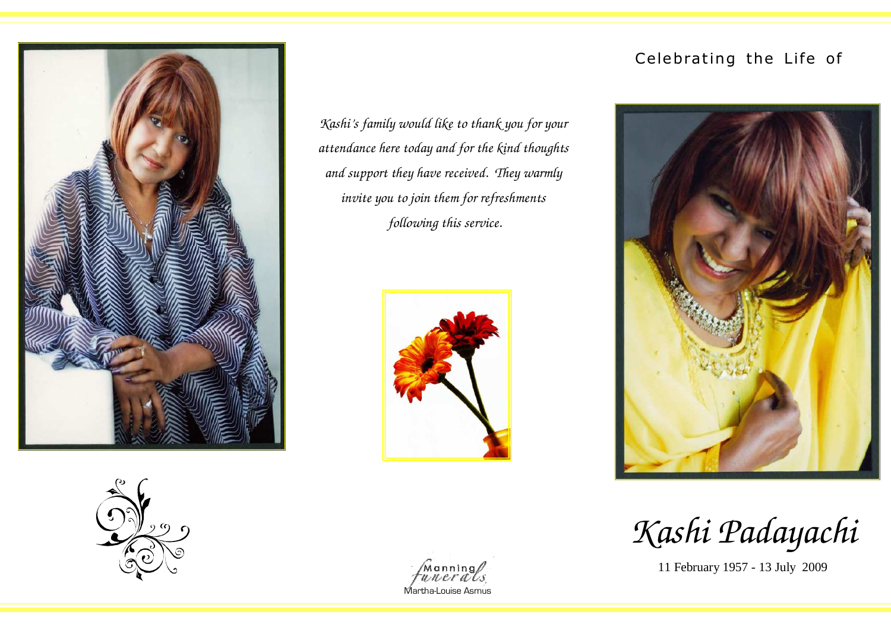



*Kashi's family would like to thank you for your attendance here today and for the kind thoughts and support they have received. They warmly invite you to join them for refreshments following this service.* 



## Celebrating the Life of



*Kashi Padayachi*

11 February 1957 - 13 July 2009